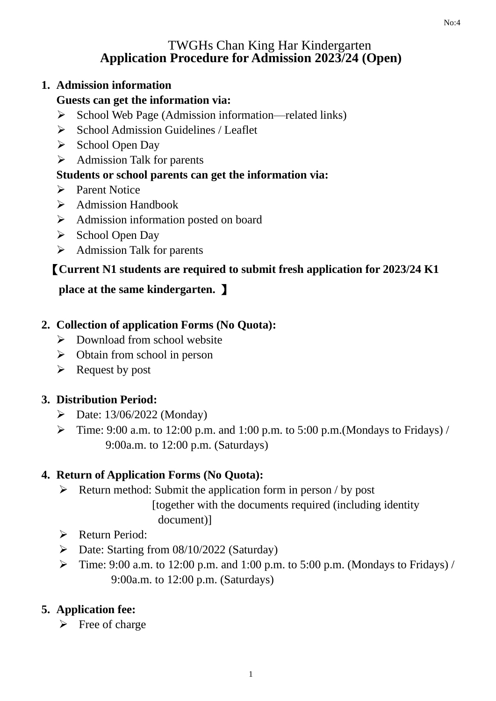#### TWGHs Chan King Har Kindergarten **Application Procedure for Admission 2023/24 (Open)**

#### **1. Admission information**

### **Guests can get the information via:**

- ➢ School Web Page (Admission information—related links)
- $\triangleright$  School Admission Guidelines / Leaflet
- ➢ School Open Day
- ➢ Admission Talk for parents

### **Students or school parents can get the information via:**

- ➢ Parent Notice
- ➢ Admission Handbook
- ➢ Admission information posted on board
- ➢ School Open Day
- ➢ Admission Talk for parents

# 【**Current N1 students are required to submit fresh application for 2023/24 K1**

# **place at the same kindergarten.** 】

### **2. Collection of application Forms (No Quota):**

- ➢ Download from school website
- $\triangleright$  Obtain from school in person
- $\triangleright$  Request by post

### **3. Distribution Period:**

- ➢ Date: 13/06/2022 (Monday)
- $\triangleright$  Time: 9:00 a.m. to 12:00 p.m. and 1:00 p.m. to 5:00 p.m. (Mondays to Fridays) / 9:00a.m. to 12:00 p.m. (Saturdays)

## **4. Return of Application Forms (No Quota):**

- $\triangleright$  Return method: Submit the application form in person / by post [together with the documents required (including identity document)]
- ➢ Return Period:
- ➢ Date: Starting from 08/10/2022 (Saturday)
- $\triangleright$  Time: 9:00 a.m. to 12:00 p.m. and 1:00 p.m. to 5:00 p.m. (Mondays to Fridays) / 9:00a.m. to 12:00 p.m. (Saturdays)

## **5. Application fee:**

 $\triangleright$  Free of charge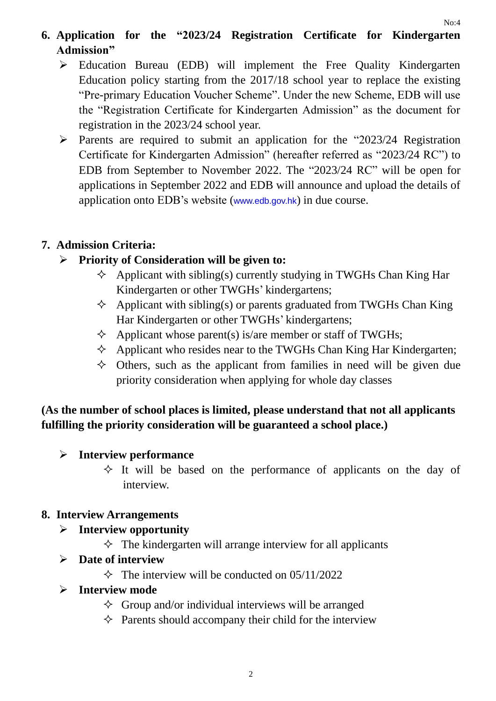# **6. Application for the "2023/24 Registration Certificate for Kindergarten Admission"**

- ➢ Education Bureau (EDB) will implement the Free Quality Kindergarten Education policy starting from the 2017/18 school year to replace the existing "Pre-primary Education Voucher Scheme". Under the new Scheme, EDB will use the "Registration Certificate for Kindergarten Admission" as the document for registration in the 2023/24 school year.
- $\triangleright$  Parents are required to submit an application for the "2023/24 Registration" Certificate for Kindergarten Admission" (hereafter referred as "2023/24 RC") to EDB from September to November 2022. The "2023/24 RC" will be open for applications in September 2022 and EDB will announce and upload the details of application onto EDB's website (www.edb.gov.hk) in due course.

### **7. Admission Criteria:**

### ➢ **Priority of Consideration will be given to:**

- $\Diamond$  Applicant with sibling(s) currently studying in TWGHs Chan King Har Kindergarten or other TWGHs' kindergartens;
- $\Diamond$  Applicant with sibling(s) or parents graduated from TWGHs Chan King Har Kindergarten or other TWGHs' kindergartens;
- $\Diamond$  Applicant whose parent(s) is/are member or staff of TWGHs;
- $\Diamond$  Applicant who resides near to the TWGHs Chan King Har Kindergarten;
- $\diamond$  Others, such as the applicant from families in need will be given due priority consideration when applying for whole day classes

# **(As the number of school places is limited, please understand that not all applicants fulfilling the priority consideration will be guaranteed a school place.)**

### ➢ **Interview performance**

 $\Diamond$  It will be based on the performance of applicants on the day of interview.

### **8. Interview Arrangements**

### ➢ **Interview opportunity**

 $\Diamond$  The kindergarten will arrange interview for all applicants

### ➢ **Date of interview**

 $\Diamond$  The interview will be conducted on 05/11/2022

### ➢ **Interview mode**

- $\Diamond$  Group and/or individual interviews will be arranged
- $\Diamond$  Parents should accompany their child for the interview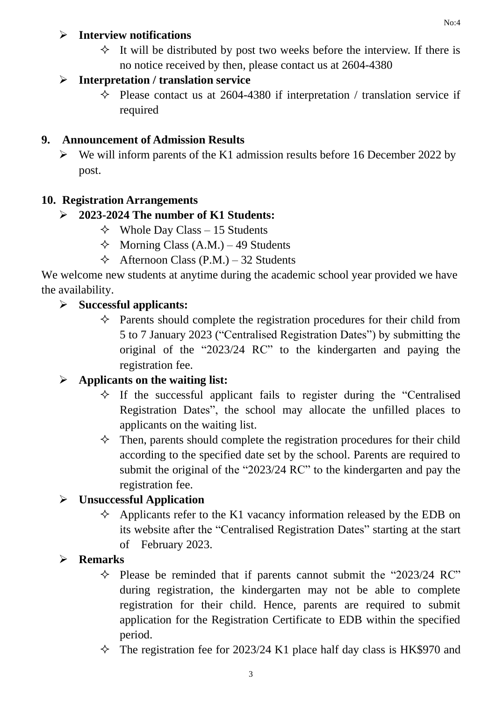### ➢ **Interview notifications**

 $\Diamond$  It will be distributed by post two weeks before the interview. If there is no notice received by then, please contact us at 2604-4380

### ➢ **Interpretation / translation service**

 $\Diamond$  Please contact us at 2604-4380 if interpretation / translation service if required

## **9. Announcement of Admission Results**

 $\triangleright$  We will inform parents of the K1 admission results before 16 December 2022 by post.

## **10. Registration Arrangements**

## ➢ **2023-2024 The number of K1 Students:**

- $\triangle$  Whole Day Class 15 Students
- $\Diamond$  Morning Class (A.M.) 49 Students
- $\triangle$  Afternoon Class (P.M.) 32 Students

We welcome new students at anytime during the academic school year provided we have the availability.

### ➢ **Successful applicants:**

 $\Diamond$  Parents should complete the registration procedures for their child from 5 to 7 January 2023 ("Centralised Registration Dates") by submitting the original of the "2023/24 RC" to the kindergarten and paying the registration fee.

## ➢ **Applicants on the waiting list:**

- $\Diamond$  If the successful applicant fails to register during the "Centralised" Registration Dates", the school may allocate the unfilled places to applicants on the waiting list.
- $\Diamond$  Then, parents should complete the registration procedures for their child according to the specified date set by the school. Parents are required to submit the original of the "2023/24 RC" to the kindergarten and pay the registration fee.

## ➢ **Unsuccessful Application**

 $\Diamond$  Applicants refer to the K1 vacancy information released by the EDB on its website after the "Centralised Registration Dates" starting at the start of February 2023.

## ➢ **Remarks**

- $\Diamond$  Please be reminded that if parents cannot submit the "2023/24 RC" during registration, the kindergarten may not be able to complete registration for their child. Hence, parents are required to submit application for the Registration Certificate to EDB within the specified period.
- $\Diamond$  The registration fee for 2023/24 K1 place half day class is HK\$970 and